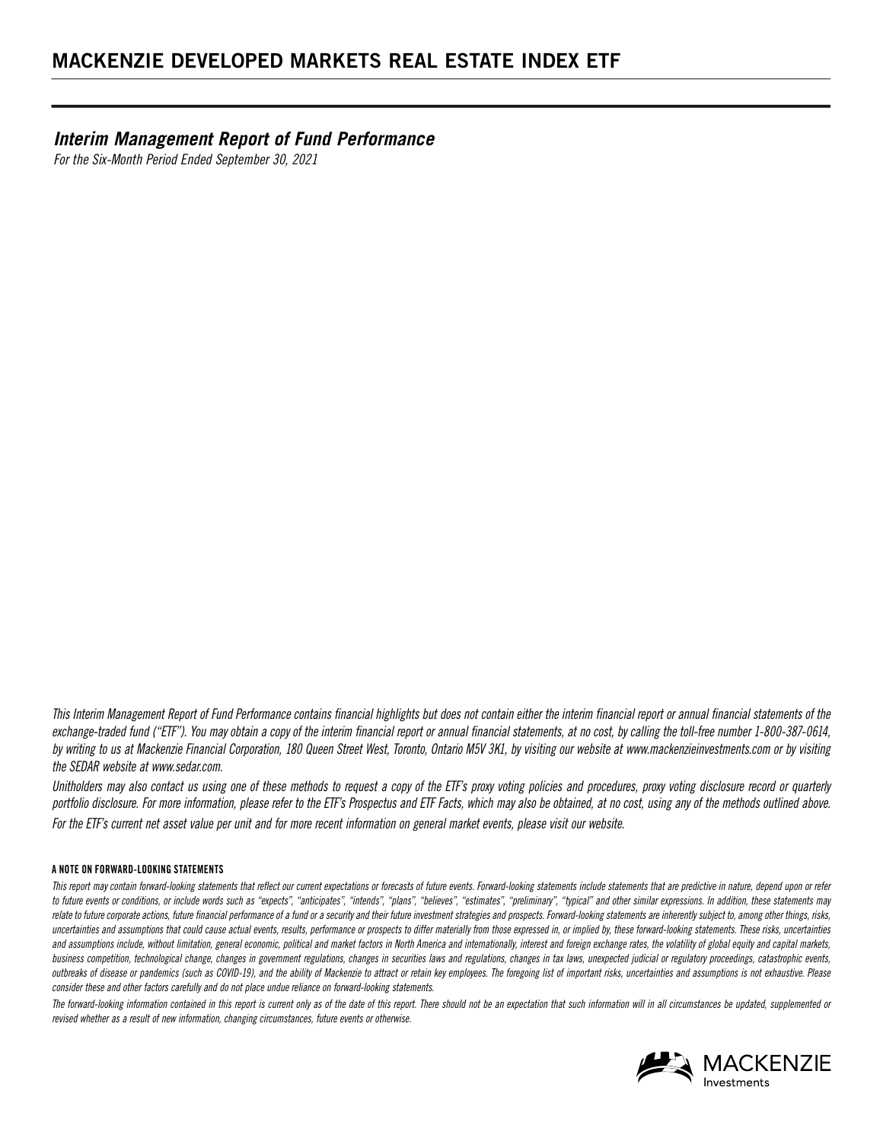*Interim Management Report of Fund Performance For the Six-Month Period Ended September 30, 2021*

*This Interim Management Report of Fund Performance contains financial highlights but does not contain either the interim financial report or annual financial statements of the*  exchange-traded fund ("ETF"). You may obtain a copy of the interim financial report or annual financial statements, at no cost, by calling the toll-free number 1-800-387-0614, *by writing to us at Mackenzie Financial Corporation, 180 Queen Street West, Toronto, Ontario M5V 3K1, by visiting our website at www.mackenzieinvestments.com or by visiting the SEDAR website at www.sedar.com.*

*Unitholders may also contact us using one of these methods to request a copy of the ETF's proxy voting policies and procedures, proxy voting disclosure record or quarterly portfolio disclosure. For more information, please refer to the ETF's Prospectus and ETF Facts, which may also be obtained, at no cost, using any of the methods outlined above. For the ETF's current net asset value per unit and for more recent information on general market events, please visit our website.*

#### **A NOTE ON FORWARD-LOOKING STATEMENTS**

This report may contain forward-looking statements that reflect our current expectations or forecasts of future events. Forward-looking statements include statements that are predictive in nature, depend upon or refer to future events or conditions, or include words such as "expects", "anticipates", "intends", "plans", "believes", "estimates", "preliminary", "typical" and other similar expressions. In addition, these statements may relate to future corporate actions, future financial performance of a fund or a security and their future investment strategies and prospects. Forward-looking statements are inherently subject to, among other things, risks uncertainties and assumptions that could cause actual events, results, performance or prospects to differ materially from those expressed in, or implied by, these forward-looking statements. These risks, uncertainties and assumptions include, without limitation, general economic, political and market factors in North America and internationally, interest and foreign exchange rates, the volatility of global equity and capital markets, business competition, technological change, changes in government regulations, changes in *tax laws, unexpected indicial or regulatory proceedings, catastrophic events*, *outbreaks of disease or pandemics (such as COVID-19), and the ability of Mackenzie to attract or retain key employees. The foregoing list of important risks, uncertainties and assumptions is not exhaustive. Please consider these and other factors carefully and do not place undue reliance on forward-looking statements.*

*The forward-looking information contained in this report is current only as of the date of this report. There should not be an expectation that such information will in all circumstances be updated, supplemented or revised whether as a result of new information, changing circumstances, future events or otherwise.*

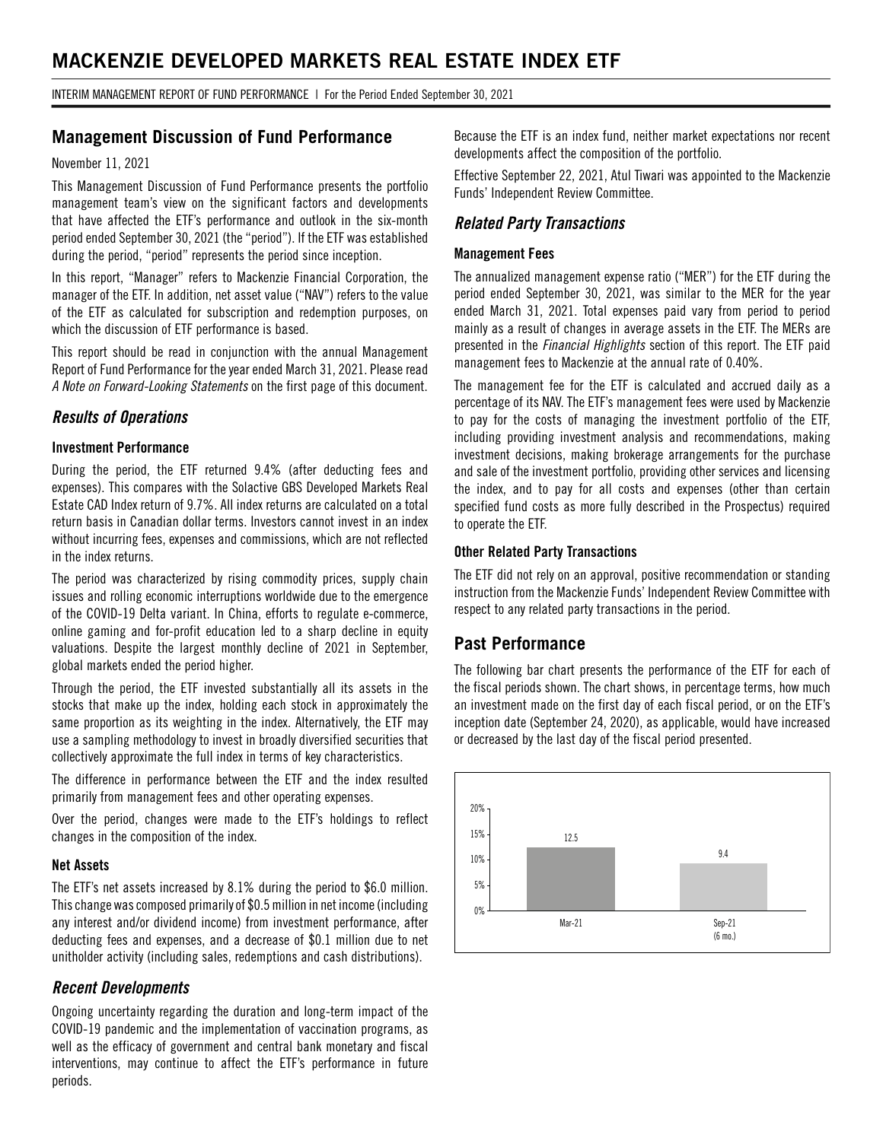# **MACKENZIE DEVELOPED MARKETS REAL ESTATE INDEX ETF**

INTERIM MANAGEMENT REPORT OF FUND PERFORMANCE | For the Period Ended September 30, 2021

## **Management Discussion of Fund Performance**

#### November 11, 2021

This Management Discussion of Fund Performance presents the portfolio management team's view on the significant factors and developments that have affected the ETF's performance and outlook in the six-month period ended September 30, 2021 (the "period"). If the ETF was established during the period, "period" represents the period since inception.

In this report, "Manager" refers to Mackenzie Financial Corporation, the manager of the ETF. In addition, net asset value ("NAV") refers to the value of the ETF as calculated for subscription and redemption purposes, on which the discussion of ETF performance is based.

This report should be read in conjunction with the annual Management Report of Fund Performance for the year ended March 31, 2021. Please read *A Note on Forward-Looking Statements* on the first page of this document.

### *Results of Operations*

#### **Investment Performance**

During the period, the ETF returned 9.4% (after deducting fees and expenses). This compares with the Solactive GBS Developed Markets Real Estate CAD Index return of 9.7%. All index returns are calculated on a total return basis in Canadian dollar terms. Investors cannot invest in an index without incurring fees, expenses and commissions, which are not reflected in the index returns.

The period was characterized by rising commodity prices, supply chain issues and rolling economic interruptions worldwide due to the emergence of the COVID-19 Delta variant. In China, efforts to regulate e-commerce, online gaming and for-profit education led to a sharp decline in equity valuations. Despite the largest monthly decline of 2021 in September, global markets ended the period higher.

Through the period, the ETF invested substantially all its assets in the stocks that make up the index, holding each stock in approximately the same proportion as its weighting in the index. Alternatively, the ETF may use a sampling methodology to invest in broadly diversified securities that collectively approximate the full index in terms of key characteristics.

The difference in performance between the ETF and the index resulted primarily from management fees and other operating expenses.

Over the period, changes were made to the ETF's holdings to reflect changes in the composition of the index.

#### **Net Assets**

The ETF's net assets increased by 8.1% during the period to \$6.0 million. This change was composed primarily of \$0.5 million in net income (including any interest and/or dividend income) from investment performance, after deducting fees and expenses, and a decrease of \$0.1 million due to net unitholder activity (including sales, redemptions and cash distributions).

### *Recent Developments*

Ongoing uncertainty regarding the duration and long-term impact of the COVID-19 pandemic and the implementation of vaccination programs, as well as the efficacy of government and central bank monetary and fiscal interventions, may continue to affect the ETF's performance in future periods.

Because the ETF is an index fund, neither market expectations nor recent developments affect the composition of the portfolio.

Effective September 22, 2021, Atul Tiwari was appointed to the Mackenzie Funds' Independent Review Committee.

### *Related Party Transactions*

#### **Management Fees**

The annualized management expense ratio ("MER") for the ETF during the period ended September 30, 2021, was similar to the MER for the year ended March 31, 2021. Total expenses paid vary from period to period mainly as a result of changes in average assets in the ETF. The MERs are presented in the *Financial Highlights* section of this report. The ETF paid management fees to Mackenzie at the annual rate of 0.40%.

The management fee for the ETF is calculated and accrued daily as a percentage of its NAV. The ETF's management fees were used by Mackenzie to pay for the costs of managing the investment portfolio of the ETF, including providing investment analysis and recommendations, making investment decisions, making brokerage arrangements for the purchase and sale of the investment portfolio, providing other services and licensing the index, and to pay for all costs and expenses (other than certain specified fund costs as more fully described in the Prospectus) required to operate the ETF.

#### **Other Related Party Transactions**

The ETF did not rely on an approval, positive recommendation or standing instruction from the Mackenzie Funds' Independent Review Committee with respect to any related party transactions in the period.

## **Past Performance**

The following bar chart presents the performance of the ETF for each of the fiscal periods shown. The chart shows, in percentage terms, how much an investment made on the first day of each fiscal period, or on the ETF's inception date (September 24, 2020), as applicable, would have increased or decreased by the last day of the fiscal period presented.

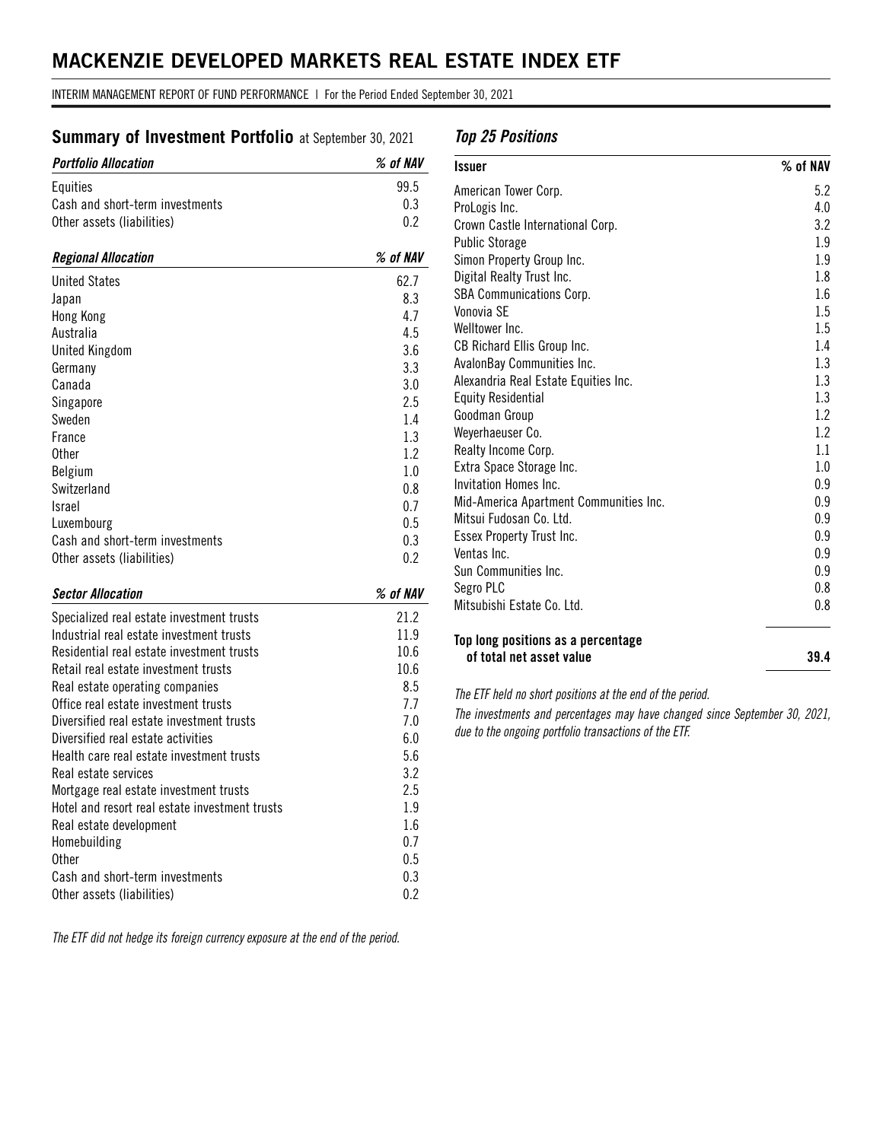# **MACKENZIE DEVELOPED MARKETS REAL ESTATE INDEX ETF**

INTERIM MANAGEMENT REPORT OF FUND PERFORMANCE | For the Period Ended September 30, 2021

# **Summary of Investment Portfolio** at September 30, 2021

| <b>Portfolio Allocation</b>              | % of NAV |
|------------------------------------------|----------|
| Equities                                 | 99.5     |
| Cash and short-term investments          | 0.3      |
| Other assets (liabilities)               | 0.2      |
| <b>Regional Allocation</b>               | % of NAV |
| <b>United States</b>                     | 62.7     |
| Japan                                    | 8.3      |
| Hong Kong                                | 4.7      |
| Australia                                | 4.5      |
| <b>United Kingdom</b>                    | 3.6      |
| Germany                                  | 3.3      |
| Canada                                   | 3.0      |
| Singapore                                | 2.5      |
| Sweden                                   | 1.4      |
| France                                   | 1.3      |
| <b>Other</b>                             | 1.2      |
| Belgium                                  | 1.0      |
| Switzerland                              | 0.8      |
| Israel                                   | 0.7      |
| Luxembourg                               | 0.5      |
| Cash and short-term investments          | 0.3      |
| Other assets (liabilities)               | 0.2      |
| <b>Sector Allocation</b>                 | % of NAV |
| Considiand real setate investment trucks | ດ1 ດ     |

| Specialized real estate investment trusts<br>Industrial real estate investment trusts | 21.2<br>11.9 |
|---------------------------------------------------------------------------------------|--------------|
| Residential real estate investment trusts                                             | 10.6         |
| Retail real estate investment trusts                                                  | 10.6         |
| Real estate operating companies                                                       | 8.5          |
| Office real estate investment trusts                                                  | 7.7          |
| Diversified real estate investment trusts                                             | 7.0          |
| Diversified real estate activities                                                    | 6.0          |
| Health care real estate investment trusts                                             | 5.6          |
| Real estate services                                                                  | 3.2          |
| Mortgage real estate investment trusts                                                | 2.5          |
| Hotel and resort real estate investment trusts                                        | 1.9          |
| Real estate development                                                               | 1.6          |
| Homebuilding                                                                          | 0.7          |
| 0ther                                                                                 | 0.5          |
| Cash and short-term investments                                                       | 0.3          |
| Other assets (liabilities)                                                            | 0.2          |

*The ETF did not hedge its foreign currency exposure at the end of the period.*

## *Top 25 Positions*

| American Tower Corp.                   | 5.2     |
|----------------------------------------|---------|
| ProLogis Inc.                          | 4.0     |
| Crown Castle International Corp.       | 3.2     |
| <b>Public Storage</b>                  | 1.9     |
| Simon Property Group Inc.              | 1.9     |
| Digital Realty Trust Inc.              | 1.8     |
| SBA Communications Corp.               | $1.6\,$ |
| Vonovia SF                             | 1.5     |
| Welltower Inc.                         | 1.5     |
| CB Richard Ellis Group Inc.            | 1.4     |
| AvalonBay Communities Inc.             | 1.3     |
| Alexandria Real Estate Equities Inc.   | 1.3     |
| <b>Equity Residential</b>              | 1.3     |
| Goodman Group                          | 1.2     |
| Weyerhaeuser Co.                       | 1.2     |
| Realty Income Corp.                    | 1.1     |
| Extra Space Storage Inc.               | 1.0     |
| Invitation Homes Inc.                  | 0.9     |
| Mid-America Apartment Communities Inc. | 0.9     |
| Mitsui Fudosan Co. Ltd.                | 0.9     |
| Essex Property Trust Inc.              | 0.9     |
| Ventas Inc.                            | 0.9     |
| Sun Communities Inc.                   | 0.9     |
| Segro PLC                              | 0.8     |
| Mitsubishi Estate Co. Ltd.             | 0.8     |

**of total net asset value 39.4**

*The ETF held no short positions at the end of the period.* 

*The investments and percentages may have changed since September 30, 2021, due to the ongoing portfolio transactions of the ETF.*